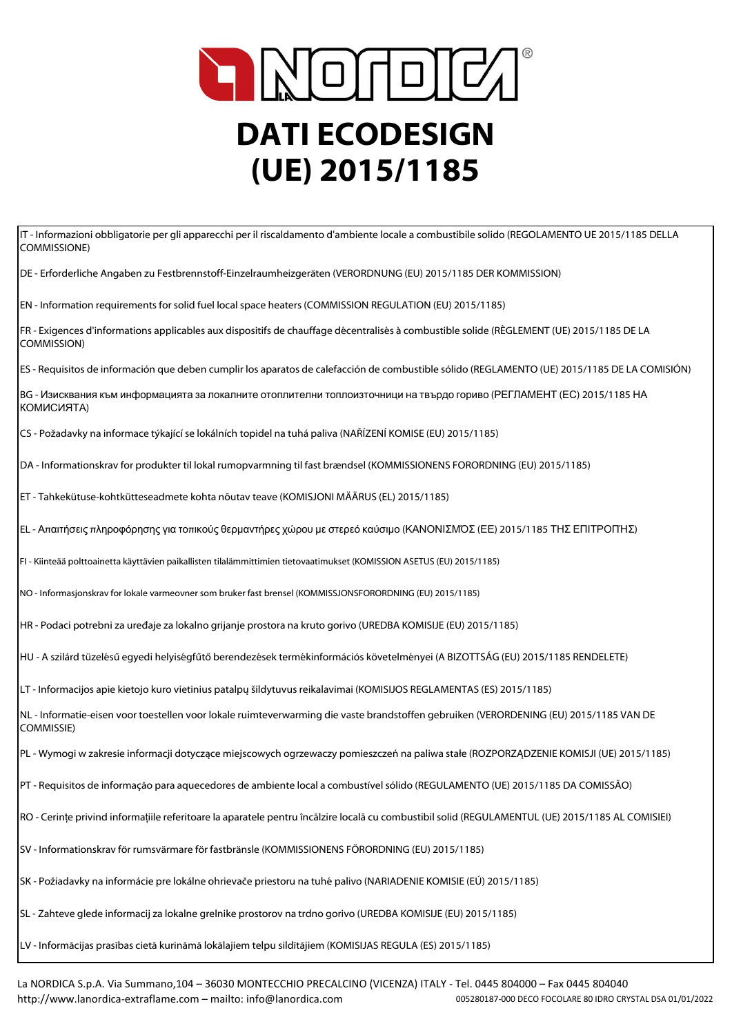

IT - Informazioni obbligatorie per gli apparecchi per il riscaldamento d'ambiente locale a combustibile solido (REGOLAMENTO UE 2015/1185 DELLA COMMISSIONE)

DE - Erforderliche Angaben zu Festbrennstoff-Einzelraumheizgeräten (VERORDNUNG (EU) 2015/1185 DER KOMMISSION)

EN - Information requirements for solid fuel local space heaters (COMMISSION REGULATION (EU) 2015/1185)

FR - Exigences d'informations applicables aux dispositifs de chauffage décentralisés à combustible solide (RÈGLEMENT (UE) 2015/1185 DE LA COMMISSION)

ES - Requisitos de información que deben cumplir los aparatos de calefacción de combustible sólido (REGLAMENTO (UE) 2015/1185 DE LA COMISIÓN)

BG - Изисквания към информацията за локалните отоплителни топлоизточници на твърдо гориво (РЕГЛАМЕНТ (ЕС) 2015/1185 НА КОМИСИЯТА)

CS - Požadavky na informace týkající se lokálních topidel na tuhá paliva (NAŘÍZENÍ KOMISE (EU) 2015/1185)

DA - Informationskrav for produkter til lokal rumopvarmning til fast brændsel (KOMMISSIONENS FORORDNING (EU) 2015/1185)

ET - Tahkekütuse-kohtkütteseadmete kohta nõutav teave (KOMISJONI MÄÄRUS (EL) 2015/1185)

EL - Απαιτήσεις πληροφόρησης για τοπικούς θερμαντήρες χώρου με στερεό καύσιμο (ΚΑΝΟΝΙΣΜΌΣ (ΕΕ) 2015/1185 ΤΗΣ ΕΠΙΤΡΟΠΉΣ)

FI - Kiinteää polttoainetta käyttävien paikallisten tilalämmittimien tietovaatimukset (KOMISSION ASETUS (EU) 2015/1185)

NO - Informasjonskrav for lokale varmeovner som bruker fast brensel (KOMMISSJONSFORORDNING (EU) 2015/1185)

HR - Podaci potrebni za uređaje za lokalno grijanje prostora na kruto gorivo (UREDBA KOMISIJE (EU) 2015/1185)

HU - A szilárd tüzelésű egyedi helyiségfűtő berendezések termékinformációs követelményei (A BIZOTTSÁG (EU) 2015/1185 RENDELETE)

LT - Informacijos apie kietojo kuro vietinius patalpų šildytuvus reikalavimai (KOMISIJOS REGLAMENTAS (ES) 2015/1185)

NL - Informatie-eisen voor toestellen voor lokale ruimteverwarming die vaste brandstoffen gebruiken (VERORDENING (EU) 2015/1185 VAN DE COMMISSIE)

PL - Wymogi w zakresie informacji dotyczące miejscowych ogrzewaczy pomieszczeń na paliwa stałe (ROZPORZĄDZENIE KOMISJI (UE) 2015/1185)

PT - Requisitos de informação para aquecedores de ambiente local a combustível sólido (REGULAMENTO (UE) 2015/1185 DA COMISSÃO)

RO - Cerințe privind informațiile referitoare la aparatele pentru încălzire locală cu combustibil solid (REGULAMENTUL (UE) 2015/1185 AL COMISIEI)

SV - Informationskrav för rumsvärmare för fastbränsle (KOMMISSIONENS FÖRORDNING (EU) 2015/1185)

SK - Požiadavky na informácie pre lokálne ohrievače priestoru na tuhé palivo (NARIADENIE KOMISIE (EÚ) 2015/1185)

SL - Zahteve glede informacij za lokalne grelnike prostorov na trdno gorivo (UREDBA KOMISIJE (EU) 2015/1185)

LV - Informācijas prasības cietā kurināmā lokālajiem telpu sildītājiem (KOMISIJAS REGULA (ES) 2015/1185)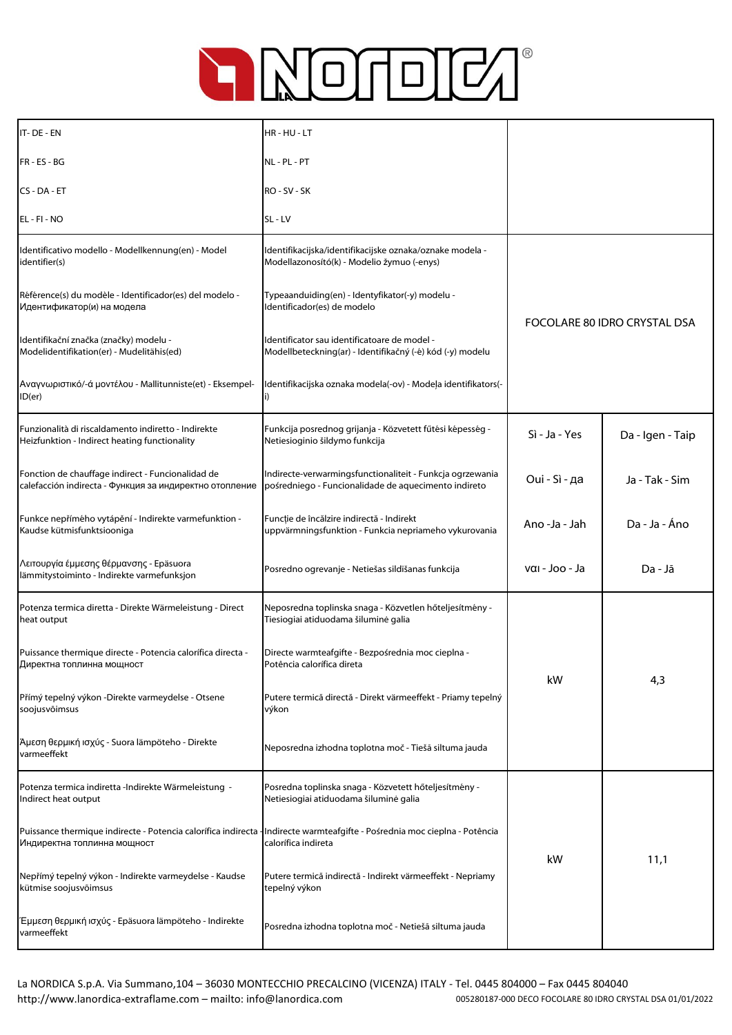

| IT-DE-EN                                                                                                     | HR-HU-LT                                                                                                          |                              |                  |
|--------------------------------------------------------------------------------------------------------------|-------------------------------------------------------------------------------------------------------------------|------------------------------|------------------|
| FR-ES-BG                                                                                                     | NL - PL - PT                                                                                                      |                              |                  |
| CS-DA-ET                                                                                                     | RO - SV - SK                                                                                                      |                              |                  |
| EL - FI - NO                                                                                                 | SL-LV                                                                                                             |                              |                  |
| Identificativo modello - Modellkennung(en) - Model<br>identifier(s)                                          | Identifikacijska/identifikacijske oznaka/oznake modela -<br>Modellazonosító(k) - Modelio žymuo (-enys)            |                              |                  |
| Référence(s) du modèle - Identificador(es) del modelo -<br>Идентификатор(и) на модела                        | Typeaanduiding(en) - Identyfikator(-y) modelu -<br>Identificador(es) de modelo                                    | FOCOLARE 80 IDRO CRYSTAL DSA |                  |
| Identifikační značka (značky) modelu -<br>Modelidentifikation(er) - Mudelitähis(ed)                          | Identificator sau identificatoare de model -<br>Modellbeteckning(ar) - Identifikačný (-é) kód (-y) modelu         |                              |                  |
| Αναγνωριστικό/-ά μοντέλου - Mallitunniste(et) - Eksempel-<br>ID(er)                                          | Identifikacijska oznaka modela(-ov) - Modeļa identifikators(-                                                     |                              |                  |
| Funzionalità di riscaldamento indiretto - Indirekte<br>Heizfunktion - Indirect heating functionality         | Funkcija posrednog grijanja - Közvetett fűtési képesség -<br>Netiesioginio šildymo funkcija                       | Sì - Ja - Yes                | Da - Igen - Taip |
| Fonction de chauffage indirect - Funcionalidad de<br>calefacción indirecta - Функция за индиректно отопление | Indirecte-verwarmingsfunctionaliteit - Funkcja ogrzewania<br>pośredniego - Funcionalidade de aquecimento indireto | Oui - Sì - да                | Ja - Tak - Sim   |
| Funkce nepřímého vytápění - Indirekte varmefunktion -<br>Kaudse kütmisfunktsiooniga                          | Funcție de încălzire indirectă - Indirekt<br>uppvärmningsfunktion - Funkcia nepriameho vykurovania                | Ano -Ja - Jah                | Da - Ja - Áno    |
| Λειτουργία έμμεσης θέρμανσης - Epäsuora<br>lämmitystoiminto - Indirekte varmefunksjon                        | Posredno ogrevanje - Netiešas sildīšanas funkcija                                                                 | ναι - Joo - Ja               | Da - Jā          |
| Potenza termica diretta - Direkte Wärmeleistung - Direct<br>heat output                                      | Neposredna toplinska snaga - Közvetlen hőteljesítmény -<br>Tiesiogiai atiduodama šiluminė galia                   |                              |                  |
| Puissance thermique directe - Potencia calorífica directa -<br>Директна топлинна мощност                     | Directe warmteafgifte - Bezpośrednia moc cieplna -<br>Potência calorífica direta                                  | kW                           | 4,3              |
| Přímý tepelný výkon -Direkte varmeydelse - Otsene<br>soojusvõimsus                                           | Putere termică directă - Direkt värmeeffekt - Priamy tepelný<br>výkon                                             |                              |                  |
| Άμεση θερμική ισχύς - Suora lämpöteho - Direkte<br>varmeeffekt                                               | Neposredna izhodna toplotna moč - Tiešā siltuma jauda                                                             |                              |                  |
| Potenza termica indiretta -Indirekte Wärmeleistung -<br>Indirect heat output                                 | Posredna toplinska snaga - Közvetett hőteljesítmény -<br>Netiesiogiai atiduodama šiluminė galia                   |                              |                  |
| Puissance thermique indirecte - Potencia calorífica indirecta -<br>Индиректна топлинна мощност               | Indirecte warmteafgifte - Pośrednia moc cieplna - Potência<br>calorífica indireta                                 | kW                           | 11,1             |
| Nepřímý tepelný výkon - Indirekte varmeydelse - Kaudse<br>kütmise soojusvõimsus                              | Putere termică indirectă - Indirekt värmeeffekt - Nepriamy<br>tepelný výkon                                       |                              |                  |
| Έμμεση θερμική ισχύς - Epäsuora lämpöteho - Indirekte<br>varmeeffekt                                         | Posredna izhodna toplotna moč - Netiešā siltuma jauda                                                             |                              |                  |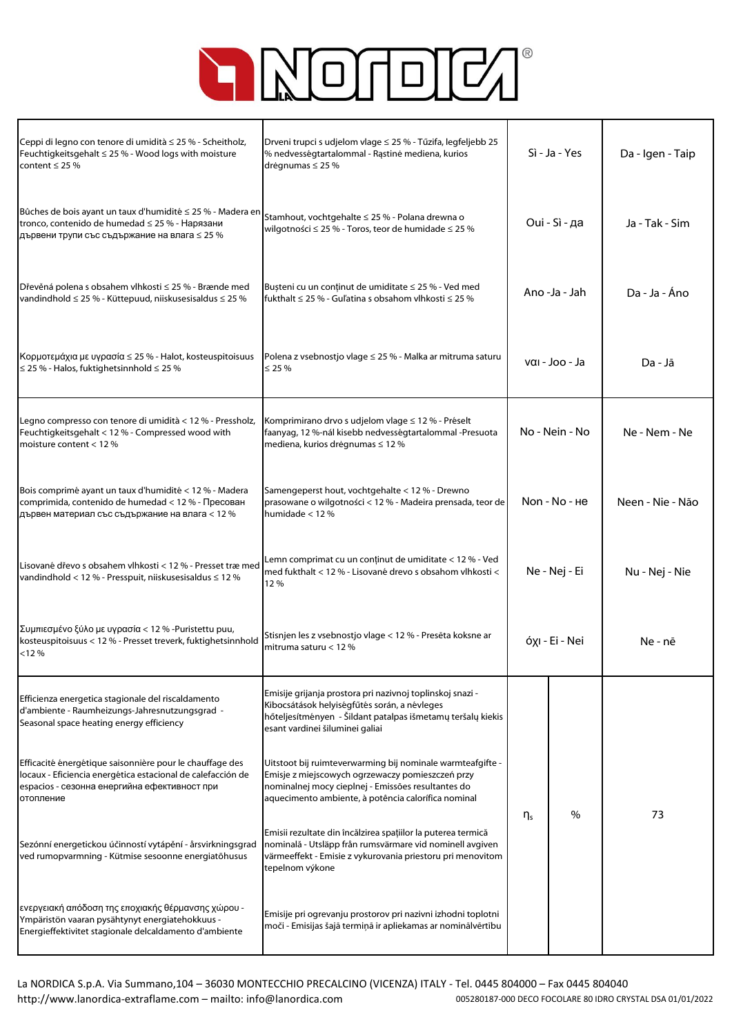

| Ceppi di legno con tenore di umidità ≤ 25 % - Scheitholz,<br>Feuchtigkeitsgehalt $\leq$ 25 % - Wood logs with moisture<br>content $\leq$ 25 %                                        | Drveni trupci s udjelom vlage ≤ 25 % - Tűzifa, legfeljebb 25<br>% nedvességtartalommal - Rąstinė mediena, kurios<br>drėgnumas ≤ 25 %                                                                                        | Sì - Ja - Yes  |      | Da - Igen - Taip |
|--------------------------------------------------------------------------------------------------------------------------------------------------------------------------------------|-----------------------------------------------------------------------------------------------------------------------------------------------------------------------------------------------------------------------------|----------------|------|------------------|
| Bûches de bois ayant un taux d'humidité ≤ 25 % - Madera en<br>tronco, contenido de humedad ≤ 25 % - Нарязани<br>дървени трупи със съдържание на влага ≤ 25 %                         | Stamhout, vochtgehalte ≤ 25 % - Polana drewna o<br>wilgotności ≤ 25 % - Toros, teor de humidade ≤ 25 %                                                                                                                      | Oui - Sì - да  |      | Ja - Tak - Sim   |
| Dřevěná polena s obsahem vlhkosti ≤ 25 % - Brænde med<br>vandindhold ≤ 25 % - Küttepuud, niiskusesisaldus ≤ 25 %                                                                     | Bușteni cu un conținut de umiditate ≤ 25 % - Ved med<br>fukthalt ≤ 25 % - Guľatina s obsahom vlhkosti ≤ 25 %                                                                                                                | Ano -Ja - Jah  |      | Da - Ja - Áno    |
| Κορμοτεμάχια με υγρασία ≤ 25 % - Halot, kosteuspitoisuus<br>$\leq$ 25 % - Halos, fuktighetsinnhold $\leq$ 25 %                                                                       | Polena z vsebnostjo vlage ≤ 25 % - Malka ar mitruma saturu<br>$\leq$ 25 %                                                                                                                                                   | ναι - Joo - Ja |      | Da - Jā          |
| Legno compresso con tenore di umidità < 12 % - Pressholz,<br>Feuchtigkeitsgehalt < 12 % - Compressed wood with<br>moisture content $< 12$ %                                          | Komprimirano drvo s udjelom vlage ≤ 12 % - Préselt<br>faanyag, 12 %-nál kisebb nedvességtartalommal -Presuota<br>mediena, kurios drėgnumas ≤ 12 %                                                                           | No - Nein - No |      | Ne - Nem - Ne    |
| Bois comprimé ayant un taux d'humidité < 12 % - Madera<br>comprimida, contenido de humedad < 12 % - Пресован<br>дървен материал със съдържание на влага < 12 %                       | Samengeperst hout, vochtgehalte < 12 % - Drewno<br>prasowane o wilgotności < 12 % - Madeira prensada, teor de<br>humidade $< 12 \%$                                                                                         | Non - No - He  |      | Neen - Nie - Não |
| Lisované dřevo s obsahem vlhkosti < 12 % - Presset træmed<br>vandindhold < 12 % - Presspuit, niiskusesisaldus ≤ 12 %                                                                 | Lemn comprimat cu un conținut de umiditate < 12 % - Ved<br>med fukthalt < 12 % - Lisované drevo s obsahom vlhkosti <<br>12%                                                                                                 | Ne - Nej - Ei  |      | Nu - Nej - Nie   |
| Συμπιεσμένο ξύλο με υγρασία < 12 % -Puristettu puu,<br>kosteuspitoisuus < 12 % - Presset treverk, fuktighetsinnhold<br>< 12%                                                         | Stisnjen les z vsebnostjo vlage < 12 % - Presēta koksne ar<br>mitruma saturu $< 12$ %                                                                                                                                       | όχι - Ei - Nei |      | Ne - nē          |
| Efficienza energetica stagionale del riscaldamento<br>d'ambiente - Raumheizungs-Jahresnutzungsgrad -<br>Seasonal space heating energy efficiency                                     | Emisije grijanja prostora pri nazivnoj toplinskoj snazi -<br>Kibocsátások helyiségfűtés során, a névleges<br>hőteljesítményen - Šildant patalpas išmetamų teršalų kiekis<br>esant vardinei šiluminei galiai                 | $\eta_{\rm s}$ | $\%$ | 73               |
| Efficacité énergétique saisonnière pour le chauffage des<br>locaux - Eficiencia energética estacional de calefacción de<br>espacios - сезонна енергийна ефективност при<br>отопление | Uitstoot bij ruimteverwarming bij nominale warmteafgifte -<br>Emisje z miejscowych ogrzewaczy pomieszczeń przy<br>nominalnej mocy cieplnej - Emissões resultantes do<br>aquecimento ambiente, à potência calorífica nominal |                |      |                  |
| Sezónní energetickou účinností vytápění - årsvirkningsgrad<br>ved rumopvarmning - Kütmise sesoonne energiatõhusus                                                                    | Emisii rezultate din încălzirea spațiilor la puterea termică<br>nominală - Utsläpp från rumsvärmare vid nominell avgiven<br>värmeeffekt - Emisie z vykurovania priestoru pri menovitom<br>tepelnom výkone                   |                |      |                  |
| ενεργειακή απόδοση της εποχιακής θέρμανσης χώρου -<br>Ympäristön vaaran pysähtynyt energiatehokkuus -<br>Energieffektivitet stagionale delcaldamento d'ambiente                      | Emisije pri ogrevanju prostorov pri nazivni izhodni toplotni<br>moči - Emisijas šajā termiņā ir apliekamas ar nominālvērtību                                                                                                |                |      |                  |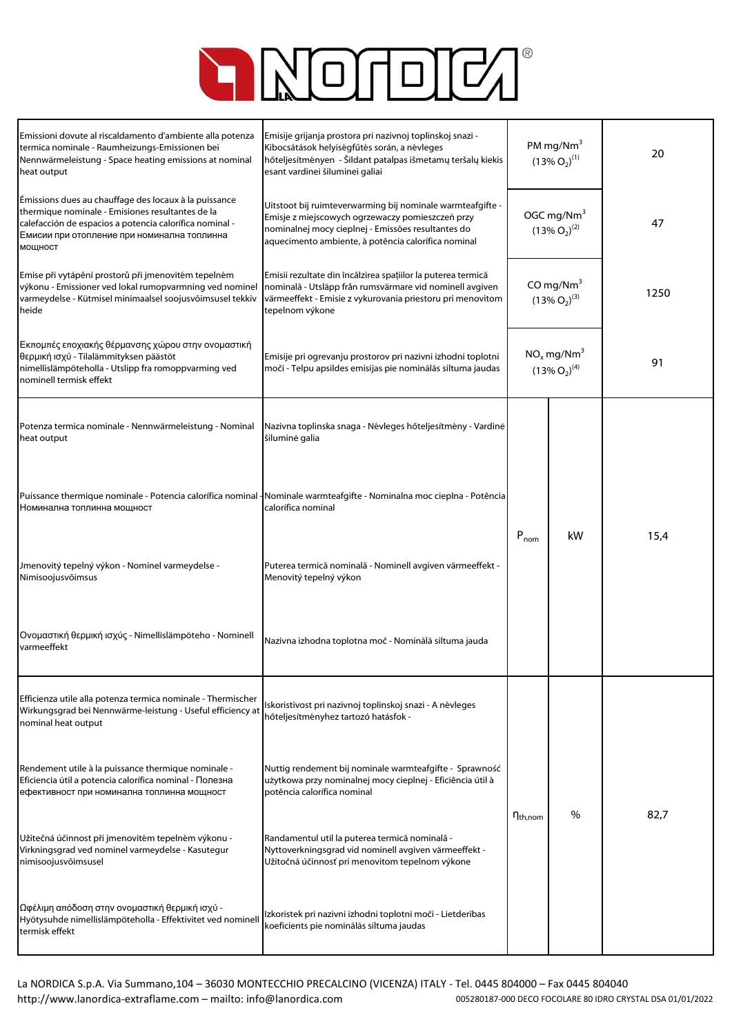

| Emissioni dovute al riscaldamento d'ambiente alla potenza<br>termica nominale - Raumheizungs-Emissionen bei<br>Nennwärmeleistung - Space heating emissions at nominal<br>heat output                                           | Emisije grijanja prostora pri nazivnoj toplinskoj snazi -<br>Kibocsátások helyiségfűtés során, a névleges<br>hőteljesítményen - Šildant patalpas išmetamų teršalų kiekis<br>esant vardinei šiluminei galiai                 | PM mg/Nm $3$<br>$(13\% O_2)^{(1)}$              |    | 20   |
|--------------------------------------------------------------------------------------------------------------------------------------------------------------------------------------------------------------------------------|-----------------------------------------------------------------------------------------------------------------------------------------------------------------------------------------------------------------------------|-------------------------------------------------|----|------|
| Émissions dues au chauffage des locaux à la puissance<br>thermique nominale - Emisiones resultantes de la<br>calefacción de espacios a potencia calorífica nominal -<br>Емисии при отопление при номинална топлинна<br>МОЩНОСТ | Uitstoot bij ruimteverwarming bij nominale warmteafgifte -<br>Emisje z miejscowych ogrzewaczy pomieszczeń przy<br>nominalnej mocy cieplnej - Emissões resultantes do<br>aquecimento ambiente, à potência calorífica nominal | OGC mg/Nm <sup>3</sup><br>$(13\% O_2)^{(2)}$    |    | 47   |
| Emise při vytápění prostorů při jmenovitém tepelném<br>výkonu - Emissioner ved lokal rumopvarmning ved nominel<br>varmeydelse - Kütmisel minimaalsel soojusvõimsusel tekkiv<br>heide                                           | Emisii rezultate din încălzirea spațiilor la puterea termică<br>nominală - Utsläpp från rumsvärmare vid nominell avgiven<br>värmeeffekt - Emisie z vykurovania priestoru pri menovitom<br>tepelnom výkone                   | CO mg/Nm $3$<br>$(13\% O_2)^{(3)}$              |    | 1250 |
| Εκπομπές εποχιακής θέρμανσης χώρου στην ονομαστική<br>θερμική ισχύ - Tilalämmityksen päästöt<br>nimellislämpöteholla - Utslipp fra romoppvarming ved<br>nominell termisk effekt                                                | Emisije pri ogrevanju prostorov pri nazivni izhodni toplotni<br>moči - Telpu apsildes emisijas pie nominālās siltuma jaudas                                                                                                 | $NO_x$ mg/Nm <sup>3</sup><br>$(13\% O_2)^{(4)}$ |    | 91   |
| Potenza termica nominale - Nennwärmeleistung - Nominal<br>heat output                                                                                                                                                          | Nazivna toplinska snaga - Névleges hőteljesítmény - Vardinė<br>šiluminė galia                                                                                                                                               |                                                 |    |      |
| Номинална топлинна мощност                                                                                                                                                                                                     | Puissance thermique nominale - Potencia calorífica nominal - Nominale warmteafgifte - Nominalna moc cieplna - Potência<br>calorífica nominal                                                                                | $P_{nom}$                                       | kW | 15,4 |
| Jmenovitý tepelný výkon - Nominel varmeydelse -<br>Nimisoojusvõimsus                                                                                                                                                           | Puterea termică nominală - Nominell avgiven värmeeffekt -<br>Menovitý tepelný výkon                                                                                                                                         |                                                 |    |      |
| Ονομαστική θερμική ισχύς - Nimellislämpöteho - Nominell<br>varmeeffekt                                                                                                                                                         | Nazivna izhodna toplotna moč - Nominālā siltuma jauda                                                                                                                                                                       |                                                 |    |      |
| Efficienza utile alla potenza termica nominale - Thermischer<br>Wirkungsgrad bei Nennwärme-leistung - Useful efficiency at<br>nominal heat output                                                                              | Iskoristivost pri nazivnoj toplinskoj snazi - A névleges<br>hőteljesítményhez tartozó hatásfok -                                                                                                                            |                                                 |    |      |
| Rendement utile à la puissance thermique nominale -<br>Eficiencia útil a potencia calorífica nominal - Полезна<br>ефективност при номинална топлинна мощност                                                                   | Nuttig rendement bij nominale warmteafgifte - Sprawność<br>użytkowa przy nominalnej mocy cieplnej - Eficiência útil à<br>potência calorífica nominal                                                                        |                                                 |    | 82,7 |
| Užitečná účinnost při jmenovitém tepelném výkonu -<br>Virkningsgrad ved nominel varmeydelse - Kasutegur<br>nimisoojusvõimsusel                                                                                                 | Randamentul util la puterea termică nominală -<br>Nyttoverkningsgrad vid nominell avgiven värmeeffekt -<br>Užitočná účinnosť pri menovitom tepelnom výkone                                                                  | %<br>$\eta_{\text{th,nom}}$                     |    |      |
| Ωφέλιμη απόδοση στην ονομαστική θερμική ισχύ -<br>Hyötysuhde nimellislämpöteholla - Effektivitet ved nominell<br>termisk effekt                                                                                                | Izkoristek pri nazivni izhodni toplotni moči - Lietderības<br>koeficients pie nominālās siltuma jaudas                                                                                                                      |                                                 |    |      |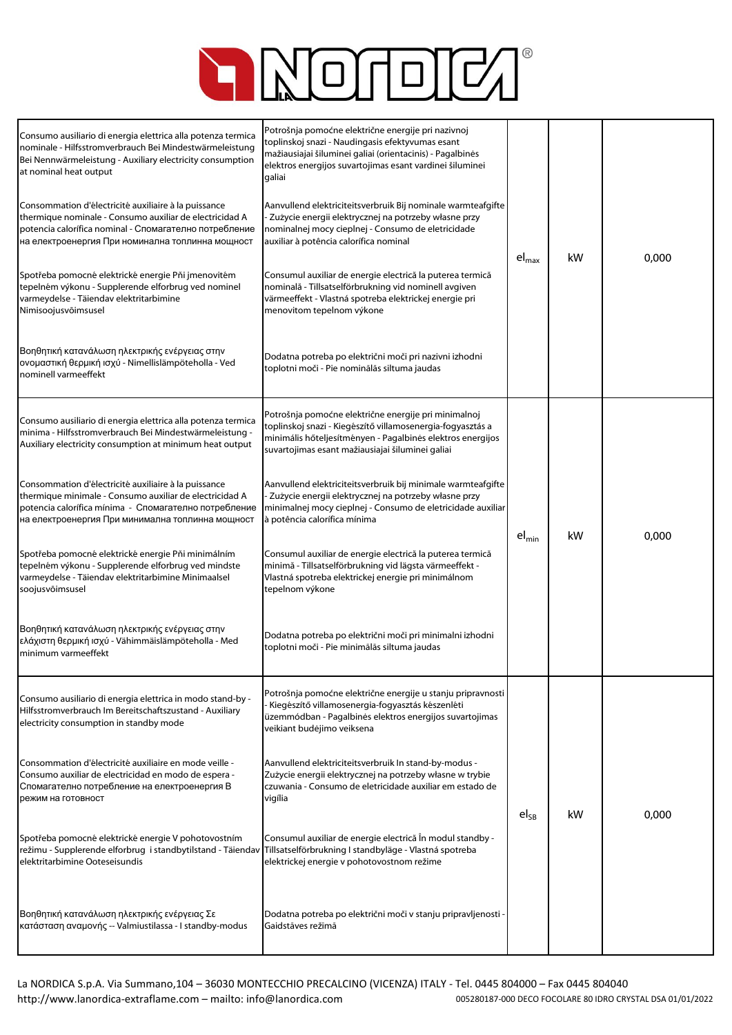

| Consumo ausiliario di energia elettrica alla potenza termica<br>nominale - Hilfsstromverbrauch Bei Mindestwärmeleistung<br>Bei Nennwärmeleistung - Auxiliary electricity consumption<br>at nominal heat output<br>Consommation d'électricité auxiliaire à la puissance<br>thermique nominale - Consumo auxiliar de electricidad A<br>potencia calorífica nominal - Спомагателно потребление<br>на електроенергия При номинална топлинна мощност<br>Spotřeba pomocné elektrické energie Pňi jmenovitém<br>tepelném výkonu - Supplerende elforbrug ved nominel<br>varmeydelse - Täiendav elektritarbimine<br>Nimisoojusvõimsusel<br>Βοηθητική κατανάλωση ηλεκτρικής ενέργειας στην<br>ονομαστική θερμική ισχύ - Nimellislämpöteholla - Ved<br>nominell varmeeffekt | Potrošnja pomoćne električne energije pri nazivnoj<br>toplinskoj snazi - Naudingasis efektyvumas esant<br>mažiausiajai šiluminei galiai (orientacinis) - Pagalbinės<br>elektros energijos suvartojimas esant vardinei šiluminei<br>galiai<br>Aanvullend elektriciteitsverbruik Bij nominale warmteafgifte<br>- Zużycie energii elektrycznej na potrzeby własne przy<br>nominalnej mocy cieplnej - Consumo de eletricidade<br>auxiliar à potência calorífica nominal<br>Consumul auxiliar de energie electrică la puterea termică<br>nominală - Tillsatselförbrukning vid nominell avgiven<br>värmeeffekt - Vlastná spotreba elektrickej energie pri<br>menovitom tepelnom výkone<br>Dodatna potreba po električni moči pri nazivni izhodni<br>toplotni moči - Pie nominālās siltuma jaudas | $\left. \text{el}_{\text{max}} \right.$ | kW | 0,000 |
|------------------------------------------------------------------------------------------------------------------------------------------------------------------------------------------------------------------------------------------------------------------------------------------------------------------------------------------------------------------------------------------------------------------------------------------------------------------------------------------------------------------------------------------------------------------------------------------------------------------------------------------------------------------------------------------------------------------------------------------------------------------|--------------------------------------------------------------------------------------------------------------------------------------------------------------------------------------------------------------------------------------------------------------------------------------------------------------------------------------------------------------------------------------------------------------------------------------------------------------------------------------------------------------------------------------------------------------------------------------------------------------------------------------------------------------------------------------------------------------------------------------------------------------------------------------------|-----------------------------------------|----|-------|
| Consumo ausiliario di energia elettrica alla potenza termica<br>minima - Hilfsstromverbrauch Bei Mindestwärmeleistung -<br>Auxiliary electricity consumption at minimum heat output<br>Consommation d'électricité auxiliaire à la puissance<br>thermique minimale - Consumo auxiliar de electricidad A<br>potencia calorífica mínima - Спомагателно потребление<br>на електроенергия При минимална топлинна мощност<br>Spotřeba pomocné elektrické energie Pňi minimálním<br>tepelném výkonu - Supplerende elforbrug ved mindste<br>varmeydelse - Täiendav elektritarbimine Minimaalsel<br>soojusvõimsusel<br>Βοηθητική κατανάλωση ηλεκτρικής ενέργειας στην<br>ελάχιστη θερμική ισχύ - Vähimmäislämpöteholla - Med<br>minimum varmeeffekt                       | Potrošnja pomoćne električne energije pri minimalnoj<br>toplinskoj snazi - Kiegészítő villamosenergia-fogyasztás a<br>minimális hőteljesítményen - Pagalbinės elektros energijos<br>suvartojimas esant mažiausiajai šiluminei galiai<br>Aanvullend elektriciteitsverbruik bij minimale warmteafgifte<br>- Zużycie energii elektrycznej na potrzeby własne przy<br>minimalnej mocy cieplnej - Consumo de eletricidade auxiliar<br>à potência calorífica mínima<br>Consumul auxiliar de energie electrică la puterea termică<br>minimă - Tillsatselförbrukning vid lägsta värmeeffekt -<br>Vlastná spotreba elektrickej energie pri minimálnom<br>tepelnom výkone<br>Dodatna potreba po električni moči pri minimalni izhodni<br>toplotni moči - Pie minimālās siltuma jaudas                | $el_{min}$                              | kW | 0,000 |
| Consumo ausiliario di energia elettrica in modo stand-by -<br>Hilfsstromverbrauch Im Bereitschaftszustand - Auxiliary<br>electricity consumption in standby mode<br>Consommation d'électricité auxiliaire en mode veille -<br>Consumo auxiliar de electricidad en modo de espera -<br>Спомагателно потребление на електроенергия В<br>режим на готовност<br>Spotřeba pomocné elektrické energie V pohotovostním<br>režimu - Supplerende elforbrug i standbytilstand - Täiendav<br>elektritarbimine Ooteseisundis<br>Βοηθητική κατανάλωση ηλεκτρικής ενέργειας Σε<br>κατάσταση αναμονής -- Valmiustilassa - I standby-modus                                                                                                                                       | Potrošnja pomoćne električne energije u stanju pripravnosti<br>Kiegészítő villamosenergia-fogyasztás készenléti<br>üzemmódban - Pagalbinės elektros energijos suvartojimas<br>veikiant budėjimo veiksena<br>Aanvullend elektriciteitsverbruik In stand-by-modus -<br>Zużycie energii elektrycznej na potrzeby własne w trybie<br>czuwania - Consumo de eletricidade auxiliar em estado de<br>vigília<br>Consumul auxiliar de energie electrică În modul standby -<br>Tillsatselförbrukning I standbyläge - Vlastná spotreba<br>elektrickej energie v pohotovostnom režime<br>Dodatna potreba po električni moči v stanju pripravljenosti -<br>Gaidstāves režīmā                                                                                                                            | $el_{SB}$                               | kW | 0,000 |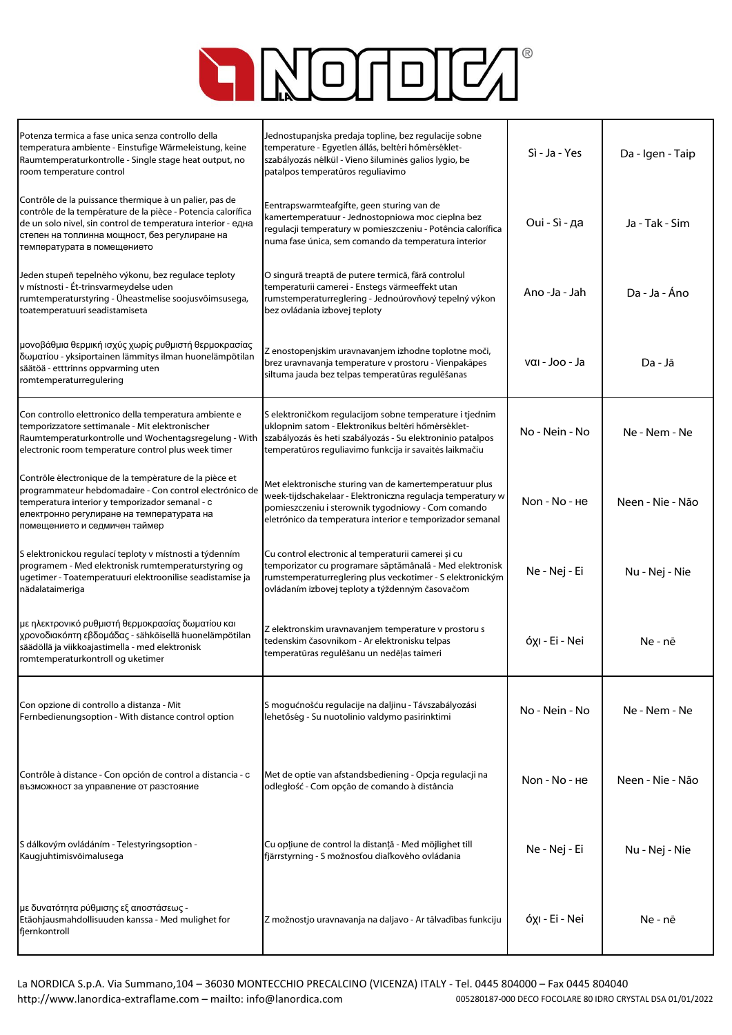

| Potenza termica a fase unica senza controllo della<br>temperatura ambiente - Einstufige Wärmeleistung, keine<br>Raumtemperaturkontrolle - Single stage heat output, no<br>room temperature control                                                                     | Jednostupanjska predaja topline, bez regulacije sobne<br>temperature - Egyetlen állás, beltéri hőmérséklet-<br>szabályozás nélkül - Vieno šiluminės galios lygio, be<br>patalpos temperatūros reguliavimo                                | Sì - Ja - Yes  | Da - Igen - Taip |
|------------------------------------------------------------------------------------------------------------------------------------------------------------------------------------------------------------------------------------------------------------------------|------------------------------------------------------------------------------------------------------------------------------------------------------------------------------------------------------------------------------------------|----------------|------------------|
| Contrôle de la puissance thermique à un palier, pas de<br>contrôle de la température de la pièce - Potencia calorífica<br>de un solo nivel, sin control de temperatura interior - една<br>степен на топлинна мощност, без регулиране на<br>температурата в помещението | Eentrapswarmteafgifte, geen sturing van de<br>kamertemperatuur - Jednostopniowa moc cieplna bez<br>regulacji temperatury w pomieszczeniu - Potência calorífica<br>numa fase única, sem comando da temperatura interior                   | Oui - Sì - да  | Ja - Tak - Sim   |
| Jeden stupeň tepelného výkonu, bez regulace teploty<br>v místnosti - Ét-trinsvarmeydelse uden<br>rumtemperaturstyring - Üheastmelise soojusvõimsusega,<br>toatemperatuuri seadistamiseta                                                                               | O singură treaptă de putere termică, fără controlul<br>temperaturii camerei - Enstegs värmeeffekt utan<br>rumstemperaturreglering - Jednoúrovňový tepelný výkon<br>bez ovládania izbovej teploty                                         | Ano -Ja - Jah  | Da - Ja - Áno    |
| μονοβάθμια θερμική ισχύς χωρίς ρυθμιστή θερμοκρασίας<br>δωματίου - yksiportainen lämmitys ilman huonelämpötilan<br>säätöä - etttrinns oppvarming uten<br>romtemperaturregulering                                                                                       | Z enostopenjskim uravnavanjem izhodne toplotne moči,<br>brez uravnavanja temperature v prostoru - Vienpakāpes<br>siltuma jauda bez telpas temperatūras regulēšanas                                                                       | ναι - Joo - Ja | Da - Jā          |
| Con controllo elettronico della temperatura ambiente e<br>temporizzatore settimanale - Mit elektronischer<br>Raumtemperaturkontrolle und Wochentagsregelung - With<br>electronic room temperature control plus week timer                                              | S elektroničkom regulacijom sobne temperature i tjednim<br>uklopnim satom - Elektronikus beltéri hőmérséklet-<br>szabályozás és heti szabályozás - Su elektroninio patalpos<br>temperatūros reguliavimo funkcija ir savaitės laikmačiu   | No - Nein - No | Ne - Nem - Ne    |
| Contrôle électronique de la température de la pièce et<br>programmateur hebdomadaire - Con control electrónico de<br>temperatura interior y temporizador semanal - c<br>електронно регулиране на температурата на<br>помещението и седмичен таймер                     | Met elektronische sturing van de kamertemperatuur plus<br>week-tijdschakelaar - Elektroniczna regulacja temperatury w<br>pomieszczeniu i sterownik tygodniowy - Com comando<br>eletrónico da temperatura interior e temporizador semanal | Non - No - He  | Neen - Nie - Não |
| S elektronickou regulací teploty v místnosti a týdenním<br>programem - Med elektronisk rumtemperaturstyring og<br>ugetimer - Toatemperatuuri elektroonilise seadistamise ja<br>nädalataimeriga                                                                         | Cu control electronic al temperaturii camerei și cu<br>temporizator cu programare săptămânală - Med elektronisk<br>rumstemperaturreglering plus veckotimer - S elektronickým<br>ovládaním izbovej teploty a týždenným časovačom          | Ne - Nej - Ei  | Nu - Nej - Nie   |
| με ηλεκτρονικό ρυθμιστή θερμοκρασίας δωματίου και<br>χρονοδιακόπτη εβδομάδας - sähköisellä huonelämpötilan<br>säädöllä ja viikkoajastimella - med elektronisk<br>romtemperaturkontroll og uketimer                                                                     | Z elektronskim uravnavanjem temperature v prostoru s<br>tedenskim časovnikom - Ar elektronisku telpas<br>temperatūras regulēšanu un nedēļas taimeri                                                                                      | όχι - Ei - Nei | Ne - nē          |
| Con opzione di controllo a distanza - Mit<br>Fernbedienungsoption - With distance control option                                                                                                                                                                       | S mogućnošću regulacije na daljinu - Távszabályozási<br>lehetőség - Su nuotolinio valdymo pasirinktimi                                                                                                                                   | No - Nein - No | Ne - Nem - Ne    |
| Contrôle à distance - Con opción de control a distancia - c<br>възможност за управление от разстояние                                                                                                                                                                  | Met de optie van afstandsbediening - Opcja regulacji na<br>odległość - Com opção de comando à distância                                                                                                                                  | Non - No - He  | Neen - Nie - Não |
| S dálkovým ovládáním - Telestyringsoption -<br>Kaugjuhtimisvõimalusega                                                                                                                                                                                                 | Cu opțiune de control la distanță - Med möjlighet till<br>fjärrstyrning - S možnosťou diaľkového ovládania                                                                                                                               | Ne - Nej - Ei  | Nu - Nej - Nie   |
| με δυνατότητα ρύθμισης εξ αποστάσεως -<br>Etäohjausmahdollisuuden kanssa - Med mulighet for<br>fjernkontroll                                                                                                                                                           | Z možnostjo uravnavanja na daljavo - Ar tālvadības funkciju                                                                                                                                                                              | όχι - Ei - Nei | Ne - nē          |